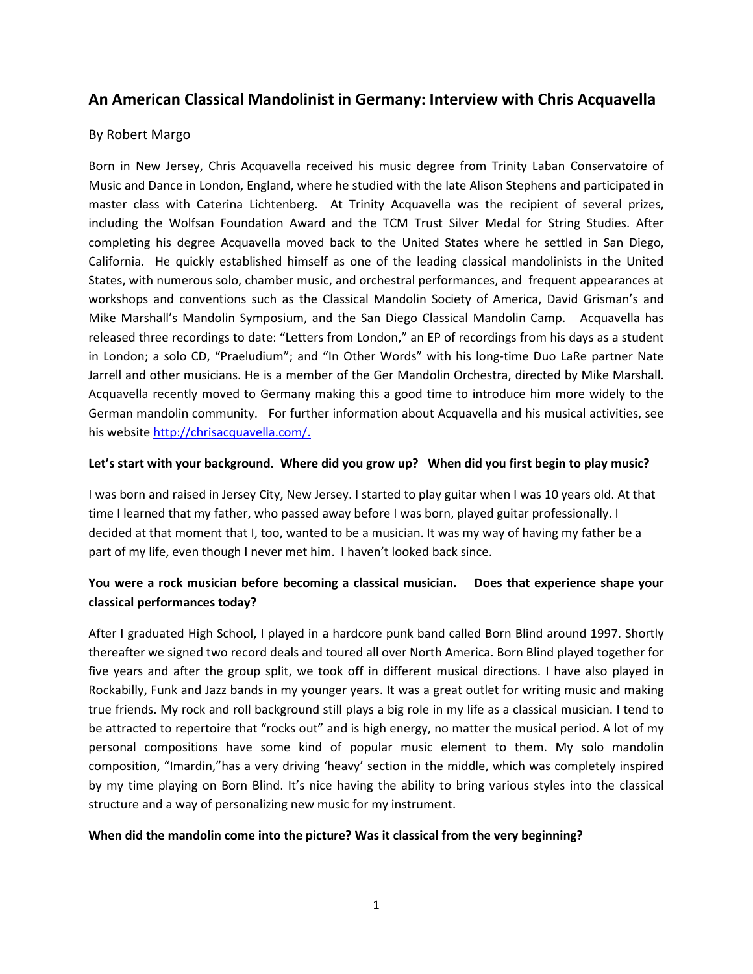# An American Classical Mandolinist in Germany: Interview with Chris Acquavella

#### By Robert Margo

Born in New Jersey, Chris Acquavella received his music degree from Trinity Laban Conservatoire of Music and Dance in London, England, where he studied with the late Alison Stephens and participated in master class with Caterina Lichtenberg. At Trinity Acquavella was the recipient of several prizes, including the Wolfsan Foundation Award and the TCM Trust Silver Medal for String Studies. After completing his degree Acquavella moved back to the United States where he settled in San Diego, California. He quickly established himself as one of the leading classical mandolinists in the United States, with numerous solo, chamber music, and orchestral performances, and frequent appearances at workshops and conventions such as the Classical Mandolin Society of America, David Grisman's and Mike Marshall's Mandolin Symposium, and the San Diego Classical Mandolin Camp. Acquavella has released three recordings to date: "Letters from London," an EP of recordings from his days as a student in London; a solo CD, "Praeludium"; and "In Other Words" with his long-time Duo LaRe partner Nate Jarrell and other musicians. He is a member of the Ger Mandolin Orchestra, directed by Mike Marshall. Acquavella recently moved to Germany making this a good time to introduce him more widely to the German mandolin community. For further information about Acquavella and his musical activities, see his website http://chrisacquavella.com/.

#### Let's start with your background. Where did you grow up? When did you first begin to play music?

I was born and raised in Jersey City, New Jersey. I started to play guitar when I was 10 years old. At that time I learned that my father, who passed away before I was born, played guitar professionally. I decided at that moment that I, too, wanted to be a musician. It was my way of having my father be a part of my life, even though I never met him. I haven't looked back since.

## You were a rock musician before becoming a classical musician. Does that experience shape your classical performances today?

After I graduated High School, I played in a hardcore punk band called Born Blind around 1997. Shortly thereafter we signed two record deals and toured all over North America. Born Blind played together for five years and after the group split, we took off in different musical directions. I have also played in Rockabilly, Funk and Jazz bands in my younger years. It was a great outlet for writing music and making true friends. My rock and roll background still plays a big role in my life as a classical musician. I tend to be attracted to repertoire that "rocks out" and is high energy, no matter the musical period. A lot of my personal compositions have some kind of popular music element to them. My solo mandolin composition, "Imardin,"has a very driving 'heavy' section in the middle, which was completely inspired by my time playing on Born Blind. It's nice having the ability to bring various styles into the classical structure and a way of personalizing new music for my instrument.

#### When did the mandolin come into the picture? Was it classical from the very beginning?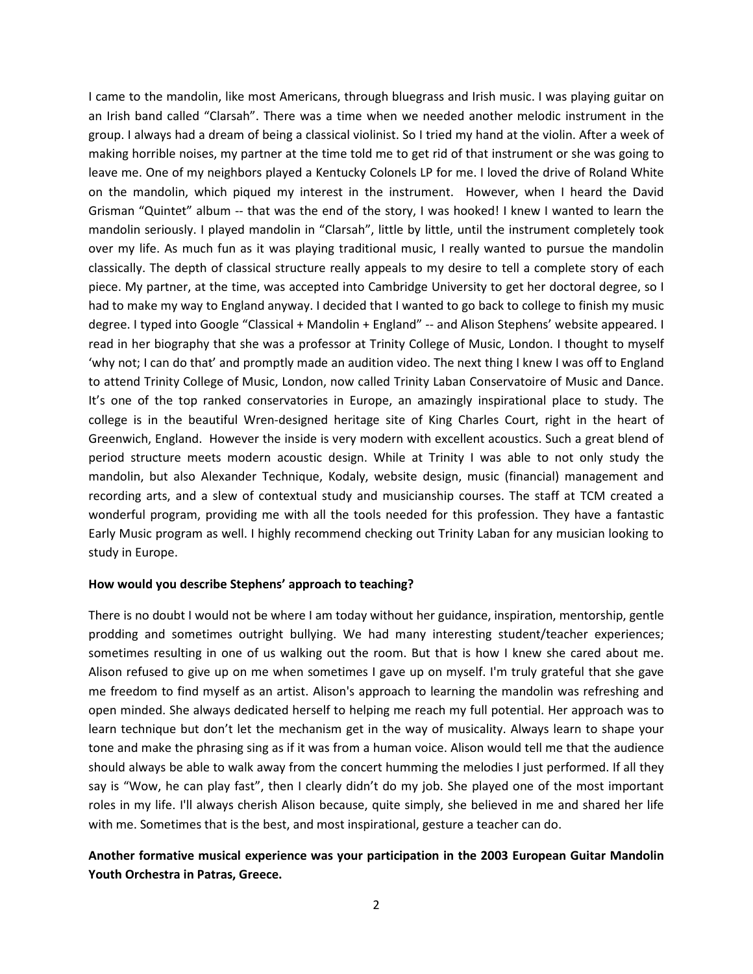I came to the mandolin, like most Americans, through bluegrass and Irish music. I was playing guitar on an Irish band called "Clarsah". There was a time when we needed another melodic instrument in the group. I always had a dream of being a classical violinist. So I tried my hand at the violin. After a week of making horrible noises, my partner at the time told me to get rid of that instrument or she was going to leave me. One of my neighbors played a Kentucky Colonels LP for me. I loved the drive of Roland White on the mandolin, which piqued my interest in the instrument. However, when I heard the David Grisman "Quintet" album -- that was the end of the story, I was hooked! I knew I wanted to learn the mandolin seriously. I played mandolin in "Clarsah", little by little, until the instrument completely took over my life. As much fun as it was playing traditional music, I really wanted to pursue the mandolin classically. The depth of classical structure really appeals to my desire to tell a complete story of each piece. My partner, at the time, was accepted into Cambridge University to get her doctoral degree, so I had to make my way to England anyway. I decided that I wanted to go back to college to finish my music degree. I typed into Google "Classical + Mandolin + England" -- and Alison Stephens' website appeared. I read in her biography that she was a professor at Trinity College of Music, London. I thought to myself 'why not; I can do that' and promptly made an audition video. The next thing I knew I was off to England to attend Trinity College of Music, London, now called Trinity Laban Conservatoire of Music and Dance. It's one of the top ranked conservatories in Europe, an amazingly inspirational place to study. The college is in the beautiful Wren-designed heritage site of King Charles Court, right in the heart of Greenwich, England. However the inside is very modern with excellent acoustics. Such a great blend of period structure meets modern acoustic design. While at Trinity I was able to not only study the mandolin, but also Alexander Technique, Kodaly, website design, music (financial) management and recording arts, and a slew of contextual study and musicianship courses. The staff at TCM created a wonderful program, providing me with all the tools needed for this profession. They have a fantastic Early Music program as well. I highly recommend checking out Trinity Laban for any musician looking to study in Europe.

#### How would you describe Stephens' approach to teaching?

There is no doubt I would not be where I am today without her guidance, inspiration, mentorship, gentle prodding and sometimes outright bullying. We had many interesting student/teacher experiences; sometimes resulting in one of us walking out the room. But that is how I knew she cared about me. Alison refused to give up on me when sometimes I gave up on myself. I'm truly grateful that she gave me freedom to find myself as an artist. Alison's approach to learning the mandolin was refreshing and open minded. She always dedicated herself to helping me reach my full potential. Her approach was to learn technique but don't let the mechanism get in the way of musicality. Always learn to shape your tone and make the phrasing sing as if it was from a human voice. Alison would tell me that the audience should always be able to walk away from the concert humming the melodies I just performed. If all they say is "Wow, he can play fast", then I clearly didn't do my job. She played one of the most important roles in my life. I'll always cherish Alison because, quite simply, she believed in me and shared her life with me. Sometimes that is the best, and most inspirational, gesture a teacher can do.

#### Another formative musical experience was your participation in the 2003 European Guitar Mandolin Youth Orchestra in Patras, Greece.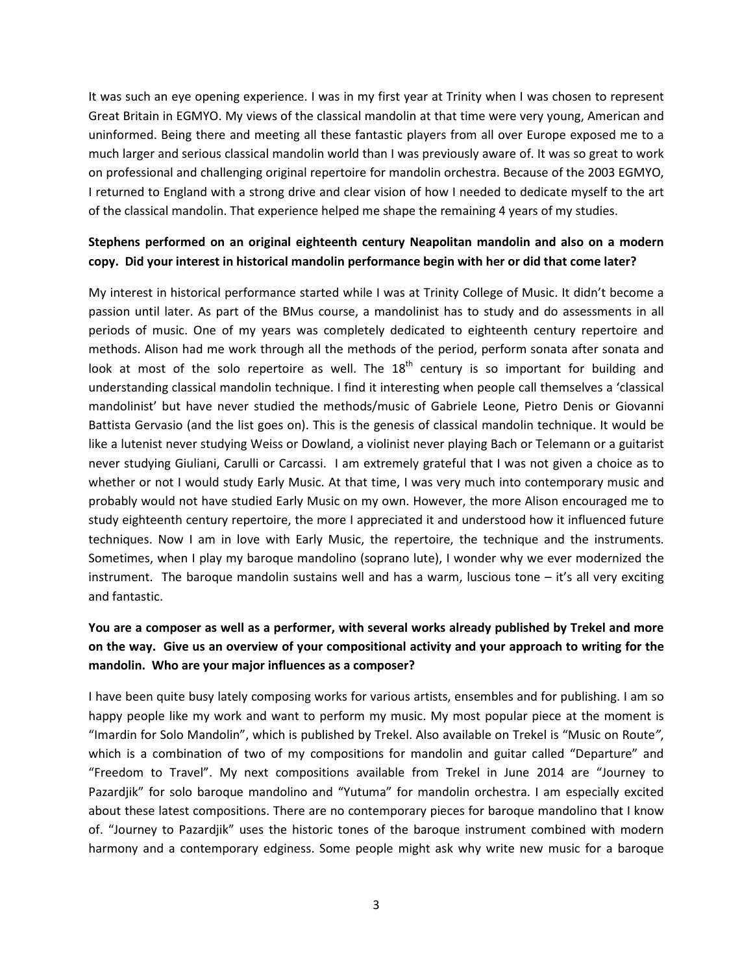It was such an eye opening experience. I was in my first year at Trinity when I was chosen to represent Great Britain in EGMYO. My views of the classical mandolin at that time were very young, American and uninformed. Being there and meeting all these fantastic players from all over Europe exposed me to a much larger and serious classical mandolin world than I was previously aware of. It was so great to work on professional and challenging original repertoire for mandolin orchestra. Because of the 2003 EGMYO, I returned to England with a strong drive and clear vision of how I needed to dedicate myself to the art of the classical mandolin. That experience helped me shape the remaining 4 years of my studies.

## Stephens performed on an original eighteenth century Neapolitan mandolin and also on a modern copy. Did your interest in historical mandolin performance begin with her or did that come later?

My interest in historical performance started while I was at Trinity College of Music. It didn't become a passion until later. As part of the BMus course, a mandolinist has to study and do assessments in all periods of music. One of my years was completely dedicated to eighteenth century repertoire and methods. Alison had me work through all the methods of the period, perform sonata after sonata and look at most of the solo repertoire as well. The  $18<sup>th</sup>$  century is so important for building and understanding classical mandolin technique. I find it interesting when people call themselves a 'classical mandolinist' but have never studied the methods/music of Gabriele Leone, Pietro Denis or Giovanni Battista Gervasio (and the list goes on). This is the genesis of classical mandolin technique. It would be like a lutenist never studying Weiss or Dowland, a violinist never playing Bach or Telemann or a guitarist never studying Giuliani, Carulli or Carcassi. I am extremely grateful that I was not given a choice as to whether or not I would study Early Music. At that time, I was very much into contemporary music and probably would not have studied Early Music on my own. However, the more Alison encouraged me to study eighteenth century repertoire, the more I appreciated it and understood how it influenced future techniques. Now I am in love with Early Music, the repertoire, the technique and the instruments. Sometimes, when I play my baroque mandolino (soprano lute), I wonder why we ever modernized the instrument. The baroque mandolin sustains well and has a warm, luscious tone – it's all very exciting and fantastic.

## You are a composer as well as a performer, with several works already published by Trekel and more on the way. Give us an overview of your compositional activity and your approach to writing for the mandolin. Who are your major influences as a composer?

I have been quite busy lately composing works for various artists, ensembles and for publishing. I am so happy people like my work and want to perform my music. My most popular piece at the moment is "Imardin for Solo Mandolin", which is published by Trekel. Also available on Trekel is "Music on Route", which is a combination of two of my compositions for mandolin and guitar called "Departure" and "Freedom to Travel". My next compositions available from Trekel in June 2014 are "Journey to Pazardjik" for solo baroque mandolino and "Yutuma" for mandolin orchestra. I am especially excited about these latest compositions. There are no contemporary pieces for baroque mandolino that I know of. "Journey to Pazardjik" uses the historic tones of the baroque instrument combined with modern harmony and a contemporary edginess. Some people might ask why write new music for a baroque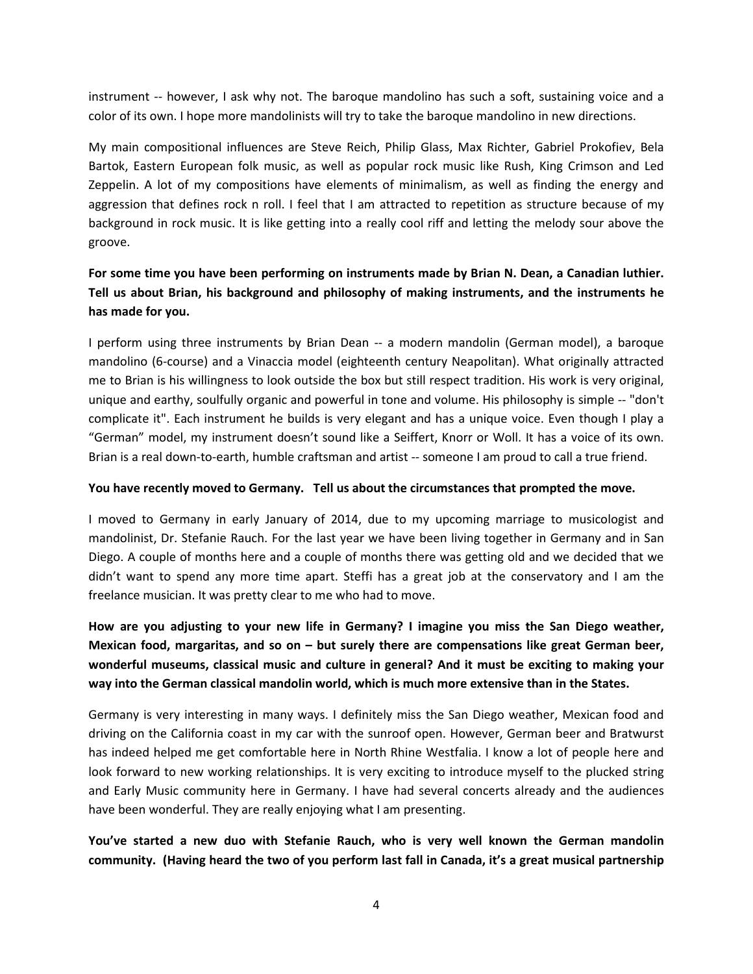instrument -- however, I ask why not. The baroque mandolino has such a soft, sustaining voice and a color of its own. I hope more mandolinists will try to take the baroque mandolino in new directions.

My main compositional influences are Steve Reich, Philip Glass, Max Richter, Gabriel Prokofiev, Bela Bartok, Eastern European folk music, as well as popular rock music like Rush, King Crimson and Led Zeppelin. A lot of my compositions have elements of minimalism, as well as finding the energy and aggression that defines rock n roll. I feel that I am attracted to repetition as structure because of my background in rock music. It is like getting into a really cool riff and letting the melody sour above the groove.

# For some time you have been performing on instruments made by Brian N. Dean, a Canadian luthier. Tell us about Brian, his background and philosophy of making instruments, and the instruments he has made for you.

I perform using three instruments by Brian Dean -- a modern mandolin (German model), a baroque mandolino (6-course) and a Vinaccia model (eighteenth century Neapolitan). What originally attracted me to Brian is his willingness to look outside the box but still respect tradition. His work is very original, unique and earthy, soulfully organic and powerful in tone and volume. His philosophy is simple -- "don't complicate it". Each instrument he builds is very elegant and has a unique voice. Even though I play a "German" model, my instrument doesn't sound like a Seiffert, Knorr or Woll. It has a voice of its own. Brian is a real down-to-earth, humble craftsman and artist -- someone I am proud to call a true friend.

#### You have recently moved to Germany. Tell us about the circumstances that prompted the move.

I moved to Germany in early January of 2014, due to my upcoming marriage to musicologist and mandolinist, Dr. Stefanie Rauch. For the last year we have been living together in Germany and in San Diego. A couple of months here and a couple of months there was getting old and we decided that we didn't want to spend any more time apart. Steffi has a great job at the conservatory and I am the freelance musician. It was pretty clear to me who had to move.

How are you adjusting to your new life in Germany? I imagine you miss the San Diego weather, Mexican food, margaritas, and so on – but surely there are compensations like great German beer, wonderful museums, classical music and culture in general? And it must be exciting to making your way into the German classical mandolin world, which is much more extensive than in the States.

Germany is very interesting in many ways. I definitely miss the San Diego weather, Mexican food and driving on the California coast in my car with the sunroof open. However, German beer and Bratwurst has indeed helped me get comfortable here in North Rhine Westfalia. I know a lot of people here and look forward to new working relationships. It is very exciting to introduce myself to the plucked string and Early Music community here in Germany. I have had several concerts already and the audiences have been wonderful. They are really enjoying what I am presenting.

You've started a new duo with Stefanie Rauch, who is very well known the German mandolin community. (Having heard the two of you perform last fall in Canada, it's a great musical partnership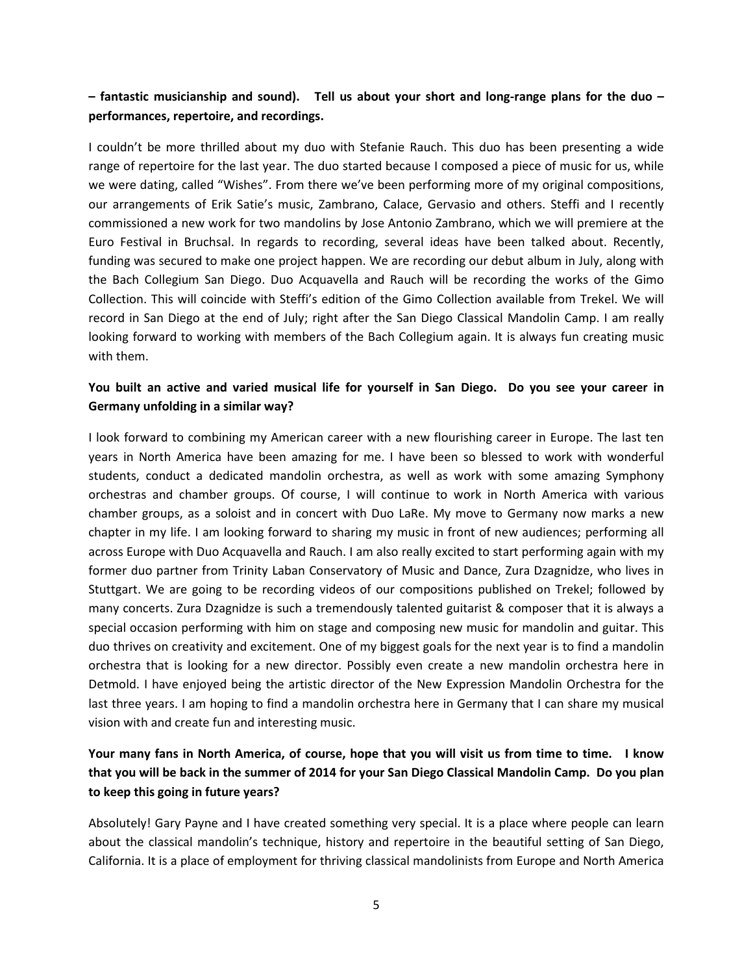## $-$  fantastic musicianship and sound). Tell us about your short and long-range plans for the duo  $$ performances, repertoire, and recordings.

I couldn't be more thrilled about my duo with Stefanie Rauch. This duo has been presenting a wide range of repertoire for the last year. The duo started because I composed a piece of music for us, while we were dating, called "Wishes". From there we've been performing more of my original compositions, our arrangements of Erik Satie's music, Zambrano, Calace, Gervasio and others. Steffi and I recently commissioned a new work for two mandolins by Jose Antonio Zambrano, which we will premiere at the Euro Festival in Bruchsal. In regards to recording, several ideas have been talked about. Recently, funding was secured to make one project happen. We are recording our debut album in July, along with the Bach Collegium San Diego. Duo Acquavella and Rauch will be recording the works of the Gimo Collection. This will coincide with Steffi's edition of the Gimo Collection available from Trekel. We will record in San Diego at the end of July; right after the San Diego Classical Mandolin Camp. I am really looking forward to working with members of the Bach Collegium again. It is always fun creating music with them.

## You built an active and varied musical life for yourself in San Diego. Do you see your career in Germany unfolding in a similar way?

I look forward to combining my American career with a new flourishing career in Europe. The last ten years in North America have been amazing for me. I have been so blessed to work with wonderful students, conduct a dedicated mandolin orchestra, as well as work with some amazing Symphony orchestras and chamber groups. Of course, I will continue to work in North America with various chamber groups, as a soloist and in concert with Duo LaRe. My move to Germany now marks a new chapter in my life. I am looking forward to sharing my music in front of new audiences; performing all across Europe with Duo Acquavella and Rauch. I am also really excited to start performing again with my former duo partner from Trinity Laban Conservatory of Music and Dance, Zura Dzagnidze, who lives in Stuttgart. We are going to be recording videos of our compositions published on Trekel; followed by many concerts. Zura Dzagnidze is such a tremendously talented guitarist & composer that it is always a special occasion performing with him on stage and composing new music for mandolin and guitar. This duo thrives on creativity and excitement. One of my biggest goals for the next year is to find a mandolin orchestra that is looking for a new director. Possibly even create a new mandolin orchestra here in Detmold. I have enjoyed being the artistic director of the New Expression Mandolin Orchestra for the last three years. I am hoping to find a mandolin orchestra here in Germany that I can share my musical vision with and create fun and interesting music.

# Your many fans in North America, of course, hope that you will visit us from time to time. I know that you will be back in the summer of 2014 for your San Diego Classical Mandolin Camp. Do you plan to keep this going in future years?

Absolutely! Gary Payne and I have created something very special. It is a place where people can learn about the classical mandolin's technique, history and repertoire in the beautiful setting of San Diego, California. It is a place of employment for thriving classical mandolinists from Europe and North America